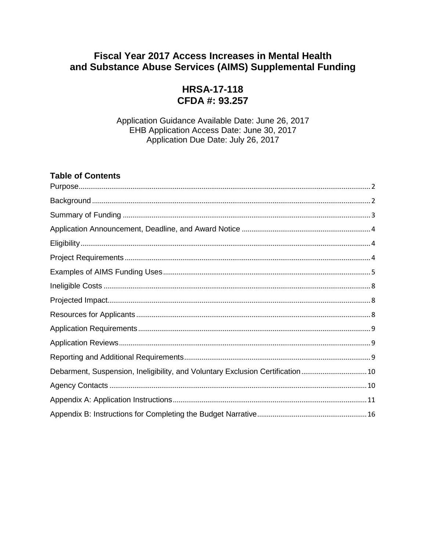# **Fiscal Year 2017 Access Increases in Mental Health** and Substance Abuse Services (AIMS) Supplemental Funding

# **HRSA-17-118** CFDA #: 93.257

Application Guidance Available Date: June 26, 2017 EHB Application Access Date: June 30, 2017 Application Due Date: July 26, 2017

## **Table of Contents**

| Debarment, Suspension, Ineligibility, and Voluntary Exclusion Certification 10 |
|--------------------------------------------------------------------------------|
|                                                                                |
|                                                                                |
|                                                                                |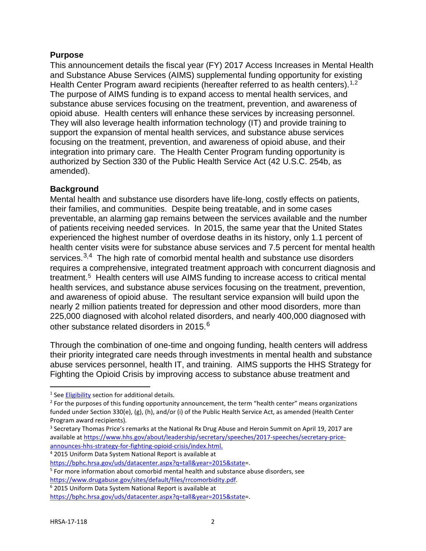### <span id="page-1-0"></span>**Purpose**

This announcement details the fiscal year (FY) 2017 Access Increases in Mental Health and Substance Abuse Services (AIMS) supplemental funding opportunity for existing Health Center Program award recipients (hereafter referred to as health centers).<sup>[1](#page-1-2),[2](#page-1-3)</sup> The purpose of AIMS funding is to expand access to mental health services, and substance abuse services focusing on the treatment, prevention, and awareness of opioid abuse. Health centers will enhance these services by increasing personnel. They will also leverage health information technology (IT) and provide training to support the expansion of mental health services, and substance abuse services focusing on the treatment, prevention, and awareness of opioid abuse, and their integration into primary care. The Health Center Program funding opportunity is authorized by Section 330 of the Public Health Service Act (42 U.S.C. 254b, as amended).

# <span id="page-1-1"></span>**Background**

Mental health and substance use disorders have life-long, costly effects on patients, their families, and communities. Despite being treatable, and in some cases preventable, an alarming gap remains between the services available and the number of patients receiving needed services. In 2015, the same year that the United States experienced the highest number of overdose deaths in its history, only 1.1 percent of health center visits were for substance abuse services and 7.5 percent for mental health services. $3,4$  $3,4$  The high rate of comorbid mental health and substance use disorders requires a comprehensive, integrated treatment approach with concurrent diagnosis and treatment.<sup>5</sup> Health centers will use AIMS funding to increase access to critical mental health services, and substance abuse services focusing on the treatment, prevention, and awareness of opioid abuse. The resultant service expansion will build upon the nearly 2 million patients treated for depression and other mood disorders, more than 225,000 diagnosed with alcohol related disorders, and nearly 400,000 diagnosed with other substance related disorders in 2015. $^6$  $^6$ 

Through the combination of one-time and ongoing funding, health centers will address their priority integrated care needs through investments in mental health and substance abuse services personnel, health IT, and training. AIMS supports the HHS Strategy for Fighting the Opioid Crisis by improving access to substance abuse treatment and

<span id="page-1-5"></span>

<span id="page-1-7"></span>

<span id="page-1-2"></span><sup>&</sup>lt;sup>1</sup> See [Eligibility](#page-3-1) section for additional details.

<span id="page-1-3"></span> $<sup>2</sup>$  For the purposes of this funding opportunity announcement, the term "health center" means organizations</sup> funded under Section 330(e), (g), (h), and/or (i) of the Public Health Service Act, as amended (Health Center Program award recipients).

<span id="page-1-4"></span><sup>&</sup>lt;sup>3</sup> Secretary Thomas Price's remarks at the National Rx Drug Abuse and Heroin Summit on April 19, 2017 are available a[t https://www.hhs.gov/about/leadership/secretary/speeches/2017-speeches/secretary-price](https://www.hhs.gov/about/leadership/secretary/speeches/2017-speeches/secretary-price-announces-hhs-strategy-for-fighting-opioid-crisis/index.html)[announces-hhs-strategy-for-fighting-opioid-crisis/index.html.](https://www.hhs.gov/about/leadership/secretary/speeches/2017-speeches/secretary-price-announces-hhs-strategy-for-fighting-opioid-crisis/index.html)<br>
<sup>4</sup> 2015 Uniform Data System National Report is available at<br>
https://bphc.hrsa.gov/uds/datacenter.aspx?q=tall&year=2015&state=.

<span id="page-1-6"></span> $5$  For more information about comorbid mental health and substance abuse disorders, see [https://www.drugabuse.gov/sites/default/files/rrcomorbidity.pdf.](https://www.drugabuse.gov/sites/default/files/rrcomorbidity.pdf) 6 2015 Uniform Data System National Report is available at

<https://bphc.hrsa.gov/uds/datacenter.aspx?q=tall&year=2015&state=>.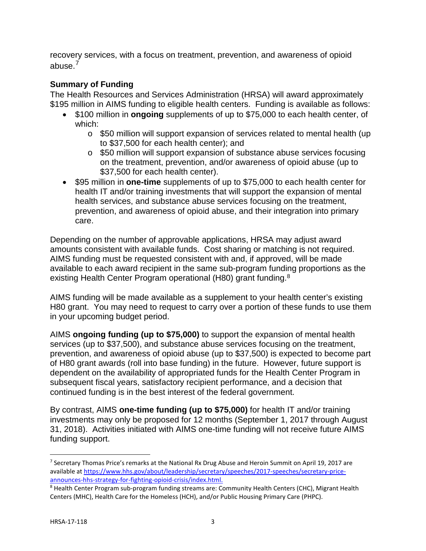recovery services, with a focus on treatment, prevention, and awareness of opioid abuse.<sup>[7](#page-2-1)</sup>

# <span id="page-2-0"></span>**Summary of Funding**

The Health Resources and Services Administration (HRSA) will award approximately \$195 million in AIMS funding to eligible health centers. Funding is available as follows:

- \$100 million in **ongoing** supplements of up to \$75,000 to each health center, of which:
	- \$50 million will support expansion of services related to mental health (up to \$37,500 for each health center); and
	- \$50 million will support expansion of substance abuse services focusing on the treatment, prevention, and/or awareness of opioid abuse (up to \$37,500 for each health center).
- \$95 million in **one-time** supplements of up to \$75,000 to each health center for health IT and/or training investments that will support the expansion of mental health services, and substance abuse services focusing on the treatment, prevention, and awareness of opioid abuse, and their integration into primary care.

Depending on the number of approvable applications, HRSA may adjust award amounts consistent with available funds. Cost sharing or matching is not required. AIMS funding must be requested consistent with and, if approved, will be made available to each award recipient in the same sub-program funding proportions as the existing Health Center Program operational (H[8](#page-2-2)0) grant funding.<sup>8</sup>

AIMS funding will be made available as a supplement to your health center's existing H80 grant. You may need to request to carry over a portion of these funds to use them in your upcoming budget period.

AIMS **ongoing funding (up to \$75,000)** to support the expansion of mental health services (up to \$37,500), and substance abuse services focusing on the treatment, prevention, and awareness of opioid abuse (up to \$37,500) is expected to become part of H80 grant awards (roll into base funding) in the future. However, future support is dependent on the availability of appropriated funds for the Health Center Program in subsequent fiscal years, satisfactory recipient performance, and a decision that continued funding is in the best interest of the federal government.

By contrast, AIMS **one-time funding (up to \$75,000)** for health IT and/or training investments may only be proposed for 12 months (September 1, 2017 through August 31, 2018). Activities initiated with AIMS one-time funding will not receive future AIMS funding support.

<span id="page-2-1"></span><sup>&</sup>lt;sup>7</sup> Secretary Thomas Price's remarks at the National Rx Drug Abuse and Heroin Summit on April 19, 2017 are available a[t https://www.hhs.gov/about/leadership/secretary/speeches/2017-speeches/secretary-price](https://www.hhs.gov/about/leadership/secretary/speeches/2017-speeches/secretary-price-announces-hhs-strategy-for-fighting-opioid-crisis/index.html)[announces-hhs-strategy-for-fighting-opioid-crisis/index.html.](https://www.hhs.gov/about/leadership/secretary/speeches/2017-speeches/secretary-price-announces-hhs-strategy-for-fighting-opioid-crisis/index.html)

<span id="page-2-2"></span><sup>&</sup>lt;sup>8</sup> Health Center Program sub-program funding streams are: Community Health Centers (CHC), Migrant Health Centers (MHC), Health Care for the Homeless (HCH), and/or Public Housing Primary Care (PHPC).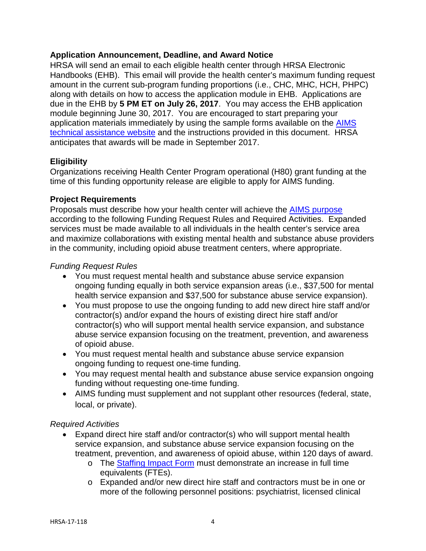#### <span id="page-3-0"></span>**Application Announcement, Deadline, and Award Notice**

HRSA will send an email to each eligible health center through HRSA Electronic Handbooks (EHB). This email will provide the health center's maximum funding request amount in the current sub-program funding proportions (i.e., CHC, MHC, HCH, PHPC) along with details on how to access the application module in EHB. Applications are due in the EHB by **5 PM ET on July 26, 2017**. You may access the EHB application module beginning June 30, 2017. You are encouraged to start preparing your application materials immediately by using the sample forms available on the [AIMS](https://bphc.hrsa.gov/programopportunities/fundingopportunities/supplement)  [technical assistance website](https://bphc.hrsa.gov/programopportunities/fundingopportunities/supplement) and the instructions provided in this document. HRSA anticipates that awards will be made in September 2017.

# <span id="page-3-1"></span>**Eligibility**

Organizations receiving Health Center Program operational (H80) grant funding at the time of this funding opportunity release are eligible to apply for AIMS funding.

#### <span id="page-3-2"></span>**Project Requirements**

Proposals must describe how your health center will achieve the [AIMS purpose](#page-1-0) according to the following Funding Request Rules and Required Activities. Expanded services must be made available to all individuals in the health center's service area and maximize collaborations with existing mental health and substance abuse providers in the community, including opioid abuse treatment centers, where appropriate.

## *Funding Request Rules*

- You must request mental health and substance abuse service expansion ongoing funding equally in both service expansion areas (i.e., \$37,500 for mental health service expansion and \$37,500 for substance abuse service expansion).
- You must propose to use the ongoing funding to add new direct hire staff and/or contractor(s) and/or expand the hours of existing direct hire staff and/or contractor(s) who will support mental health service expansion, and substance abuse service expansion focusing on the treatment, prevention, and awareness of opioid abuse.
- You must request mental health and substance abuse service expansion ongoing funding to request one-time funding.
- You may request mental health and substance abuse service expansion ongoing funding without requesting one-time funding.
- AIMS funding must supplement and not supplant other resources (federal, state, local, or private).

# *Required Activities*

- Expand direct hire staff and/or contractor(s) who will support mental health service expansion, and substance abuse service expansion focusing on the treatment, prevention, and awareness of opioid abuse, within 120 days of award.
	- The [Staffing Impact Form](#page-11-0) must demonstrate an increase in full time equivalents (FTEs).
	- Expanded and/or new direct hire staff and contractors must be in one or more of the following personnel positions: psychiatrist, licensed clinical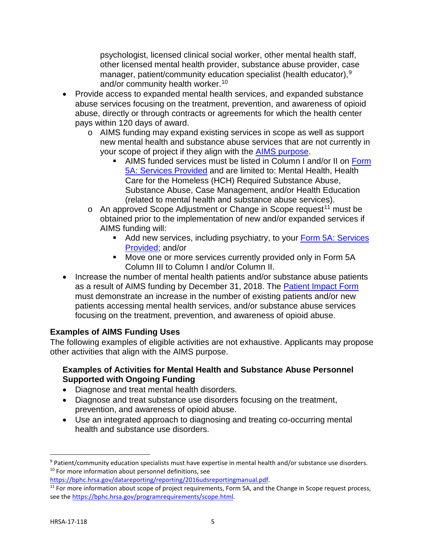psychologist, licensed clinical social worker, other mental health staff, other licensed mental health provider, substance abuse provider, case manager, patient/community education specialist (health educator),<sup>[9](#page-4-1)</sup> and/or community health worker.<sup>[10](#page-4-2)</sup>

- Provide access to expanded mental health services, and expanded substance abuse services focusing on the treatment, prevention, and awareness of opioid abuse, directly or through contracts or agreements for which the health center pays within 120 days of award.
	- AIMS funding may expand existing services in scope as well as support new mental health and substance abuse services that are not currently in your scope of project if they align with the **AIMS** purpose.
		- AIMS funded services must be listed in Column I and/or II on Form [5A: Services Provided](#page-11-1) and are limited to: Mental Health, Health Care for the Homeless (HCH) Required Substance Abuse, Substance Abuse, Case Management, and/or Health Education (related to mental health and substance abuse services).
	- An approved Scope Adjustment or Change in Scope request[11](#page-4-3) must be obtained prior to the implementation of new and/or expanded services if AIMS funding will:
		- Add new services, including psychiatry, to your Form 5A: Services [Provided;](#page-11-1) and/or
		- Move one or more services currently provided only in Form 5A Column III to Column I and/or Column II.
- Increase the number of mental health patients and/or substance abuse patients as a result of AIMS funding by December 31, 2018. The Patient Impact Form must demonstrate an increase in the number of existing patients and/or new patients accessing mental health services, and/or substance abuse services focusing on the treatment, prevention, and awareness of opioid abuse.

# <span id="page-4-0"></span>**Examples of AIMS Funding Uses**

The following examples of eligible activities are not exhaustive. Applicants may propose other activities that align with the AIMS purpose.

# **Examples of Activities for Mental Health and Substance Abuse Personnel Supported with Ongoing Funding**

- Diagnose and treat mental health disorders.
- Diagnose and treat substance use disorders focusing on the treatment, prevention, and awareness of opioid abuse.
- Use an integrated approach to diagnosing and treating co-occurring mental health and substance use disorders.

<span id="page-4-2"></span><span id="page-4-1"></span><sup>9</sup> Patient/community education specialists must have expertise in mental health and/or substance use disorders. <sup>10</sup> For more information about personnel definitions, see

<span id="page-4-3"></span>[https://bphc.hrsa.gov/datareporting/reporting/2016udsreportingmanual.pdf.](https://bphc.hrsa.gov/datareporting/reporting/2016udsreportingmanual.pdf)<br><sup>11</sup> For more information about scope of project requirements, Form 5A, and the Change in Scope request process, see the [https://bphc.hrsa.gov/programrequirements/scope.html.](https://bphc.hrsa.gov/programrequirements/scope.html)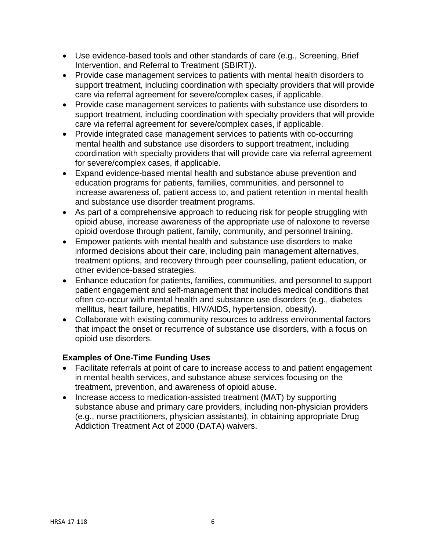- Use evidence-based tools and other standards of care (e.g., Screening, Brief Intervention, and Referral to Treatment (SBIRT)).
- Provide case management services to patients with mental health disorders to support treatment, including coordination with specialty providers that will provide care via referral agreement for severe/complex cases, if applicable.
- Provide case management services to patients with substance use disorders to support treatment, including coordination with specialty providers that will provide care via referral agreement for severe/complex cases, if applicable.
- Provide integrated case management services to patients with co-occurring mental health and substance use disorders to support treatment, including coordination with specialty providers that will provide care via referral agreement for severe/complex cases, if applicable.
- Expand evidence-based mental health and substance abuse prevention and education programs for patients, families, communities, and personnel to increase awareness of, patient access to, and patient retention in mental health and substance use disorder treatment programs.
- As part of a comprehensive approach to reducing risk for people struggling with opioid abuse, increase awareness of the appropriate use of naloxone to reverse opioid overdose through patient, family, community, and personnel training.
- Empower patients with mental health and substance use disorders to make informed decisions about their care, including pain management alternatives, treatment options, and recovery through peer counselling, patient education, or other evidence-based strategies.
- Enhance education for patients, families, communities, and personnel to support patient engagement and self-management that includes medical conditions that often co-occur with mental health and substance use disorders (e.g., diabetes mellitus, heart failure, hepatitis, HIV/AIDS, hypertension, obesity).
- Collaborate with existing community resources to address environmental factors that impact the onset or recurrence of substance use disorders, with a focus on opioid use disorders.

# **Examples of One-Time Funding Uses**

- Facilitate referrals at point of care to increase access to and patient engagement in mental health services, and substance abuse services focusing on the treatment, prevention, and awareness of opioid abuse.
- Increase access to medication-assisted treatment (MAT) by supporting substance abuse and primary care providers, including non-physician providers (e.g., nurse practitioners, physician assistants), in obtaining appropriate Drug Addiction Treatment Act of 2000 (DATA) waivers.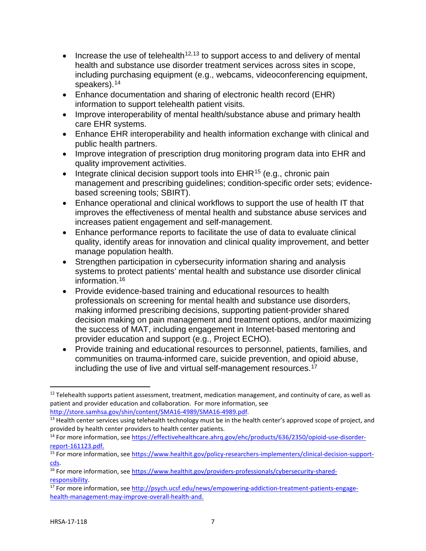- Increase the use of telehealth<sup>[12,](#page-6-0)[13](#page-6-1)</sup> to support access to and delivery of mental health and substance use disorder treatment services across sites in scope, including purchasing equipment (e.g., webcams, videoconferencing equipment, speakers).<sup>[14](#page-6-2)</sup>
- Enhance documentation and sharing of electronic health record (EHR) information to support telehealth patient visits.
- Improve interoperability of mental health/substance abuse and primary health care EHR systems.
- Enhance EHR interoperability and health information exchange with clinical and public health partners.
- Improve integration of prescription drug monitoring program data into EHR and quality improvement activities.
- Integrate clinical decision support tools into  $EHR^{15}$  $EHR^{15}$  $EHR^{15}$  (e.g., chronic pain management and prescribing guidelines; condition-specific order sets; evidencebased screening tools; SBIRT).
- Enhance operational and clinical workflows to support the use of health IT that improves the effectiveness of mental health and substance abuse services and increases patient engagement and self-management.
- Enhance performance reports to facilitate the use of data to evaluate clinical quality, identify areas for innovation and clinical quality improvement, and better manage population health.
- Strengthen participation in cybersecurity information sharing and analysis systems to protect patients' mental health and substance use disorder clinical information.[16](#page-6-4)
- Provide evidence-based training and educational resources to health professionals on screening for mental health and substance use disorders, making informed prescribing decisions, supporting patient-provider shared decision making on pain management and treatment options, and/or maximizing the success of MAT, including engagement in Internet-based mentoring and provider education and support (e.g., Project ECHO).
- Provide training and educational resources to personnel, patients, families, and communities on trauma-informed care, suicide prevention, and opioid abuse, including the use of live and virtual self-management resources.<sup>[17](#page-6-5)</sup>

<span id="page-6-0"></span> $12$  Telehealth supports patient assessment, treatment, medication management, and continuity of care, as well as patient and provider education and collaboration. For more information, see

<span id="page-6-1"></span>[http://store.samhsa.gov/shin/content/SMA16-4989/SMA16-4989.pdf.](http://store.samhsa.gov/shin/content/SMA16-4989/SMA16-4989.pdf)<br><sup>13</sup> Health center services using telehealth technology must be in the health center's approved scope of project, and provided by health center providers to health center patients.

<span id="page-6-2"></span><sup>14</sup> For more information, se[e https://effectivehealthcare.ahrq.gov/ehc/products/636/2350/opioid-use-disorder](https://effectivehealthcare.ahrq.gov/ehc/products/636/2350/opioid-use-disorder-report-161123.pdf)[report-161123.pdf.](https://effectivehealthcare.ahrq.gov/ehc/products/636/2350/opioid-use-disorder-report-161123.pdf)

<span id="page-6-3"></span><sup>15</sup> For more information, se[e https://www.healthit.gov/policy-researchers-implementers/clinical-decision-support](https://www.healthit.gov/policy-researchers-implementers/clinical-decision-support-cds)cds.<br><sup>16</sup> For more information, se[e https://www.healthit.gov/providers-professionals/cybersecurity-shared-](https://www.healthit.gov/providers-professionals/cybersecurity-shared-responsibility)

<span id="page-6-4"></span>responsibility.<br><sup>17</sup> For more information, se[e http://psych.ucsf.edu/news/empowering-addiction-treatment-patients-engage-](http://psych.ucsf.edu/news/empowering-addiction-treatment-patients-engage-health-management-may-improve-overall-health-and)

<span id="page-6-5"></span>[health-management-may-improve-overall-health-and.](http://psych.ucsf.edu/news/empowering-addiction-treatment-patients-engage-health-management-may-improve-overall-health-and)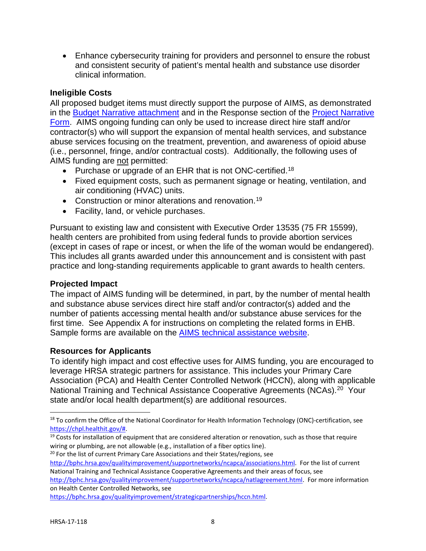• Enhance cybersecurity training for providers and personnel to ensure the robust and consistent security of patient's mental health and substance use disorder clinical information.

## <span id="page-7-0"></span>**Ineligible Costs**

All proposed budget items must directly support the purpose of AIMS, as demonstrated in the [Budget Narrative attachment](#page-15-0) and in the Response section of the [Project Narrative](#page-13-0)  [Form.](#page-13-0) AIMS ongoing funding can only be used to increase direct hire staff and/or contractor(s) who will support the expansion of mental health services, and substance abuse services focusing on the treatment, prevention, and awareness of opioid abuse (i.e., personnel, fringe, and/or contractual costs). Additionally, the following uses of AIMS funding are not permitted:

- Purchase or upgrade of an EHR that is not ONC-certified.<sup>18</sup>
- Fixed equipment costs, such as permanent signage or heating, ventilation, and air conditioning (HVAC) units.
- Construction or minor alterations and renovation.<sup>19</sup>
- Facility, land, or vehicle purchases.

Pursuant to existing law and consistent with Executive Order 13535 (75 FR 15599), health centers are prohibited from using federal funds to provide abortion services (except in cases of rape or incest, or when the life of the woman would be endangered). This includes all grants awarded under this announcement and is consistent with past practice and long-standing requirements applicable to grant awards to health centers.

#### <span id="page-7-1"></span>**Projected Impact**

The impact of AIMS funding will be determined, in part, by the number of mental health and substance abuse services direct hire staff and/or contractor(s) added and the number of patients accessing mental health and/or substance abuse services for the first time. See Appendix A for instructions on completing the related forms in EHB. Sample forms are available on the **AIMS** technical assistance website.

#### <span id="page-7-2"></span>**Resources for Applicants**

To identify high impact and cost effective uses for AIMS funding, you are encouraged to leverage HRSA strategic partners for assistance. This includes your Primary Care Association (PCA) and Health Center Controlled Network (HCCN), along with applicable National Training and Technical Assistance Cooperative Agreements (NCAs).<sup>20</sup> Your state and/or local health department(s) are additional resources.

<span id="page-7-5"></span>[http://bphc.hrsa.gov/qualityimprovement/supportnetworks/ncapca/associations.html.](http://bphc.hrsa.gov/qualityimprovement/supportnetworks/ncapca/associations.html) For the list of current National Training and Technical Assistance Cooperative Agreements and their areas of focus, see

[https://bphc.hrsa.gov/qualityimprovement/strategicpartnerships/hccn.html.](https://bphc.hrsa.gov/qualityimprovement/strategicpartnerships/hccn.html)

<span id="page-7-3"></span><sup>&</sup>lt;sup>18</sup> To confirm the Office of the National Coordinator for Health Information Technology (ONC)-certification, see https://chpl.healthit.gov/#.

<span id="page-7-4"></span> $19$  Costs for installation of equipment that are considered alteration or renovation, such as those that require wiring or plumbing, are not allowable (e.g., installation of a fiber optics line).<br><sup>20</sup> For the list of current Primary Care Associations and their States/regions, see

[http://bphc.hrsa.gov/qualityimprovement/supportnetworks/ncapca/natlagreement.html.](http://bphc.hrsa.gov/qualityimprovement/supportnetworks/ncapca/natlagreement.html) For more information on Health Center Controlled Networks, see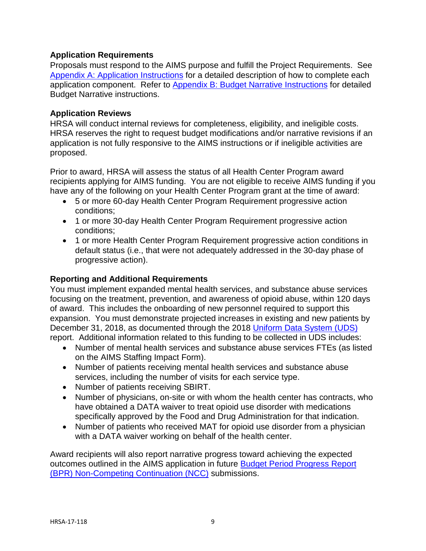## <span id="page-8-0"></span>**Application Requirements**

Proposals must respond to the AIMS purpose and fulfill the Project Requirements. See [Appendix A: Application Instructions](#page-10-0) for a detailed description of how to complete each application component. Refer to [Appendix B: Budget Narrative Instructions](#page-15-0) for detailed Budget Narrative instructions.

### <span id="page-8-1"></span>**Application Reviews**

HRSA will conduct internal reviews for completeness, eligibility, and ineligible costs. HRSA reserves the right to request budget modifications and/or narrative revisions if an application is not fully responsive to the AIMS instructions or if ineligible activities are proposed.

Prior to award, HRSA will assess the status of all Health Center Program award recipients applying for AIMS funding. You are not eligible to receive AIMS funding if you have any of the following on your Health Center Program grant at the time of award:

- 5 or more 60-day Health Center Program Requirement progressive action conditions;
- 1 or more 30-day Health Center Program Requirement progressive action conditions;
- 1 or more Health Center Program Requirement progressive action conditions in default status (i.e., that were not adequately addressed in the 30-day phase of progressive action).

## <span id="page-8-2"></span>**Reporting and Additional Requirements**

You must implement expanded mental health services, and substance abuse services focusing on the treatment, prevention, and awareness of opioid abuse, within 120 days of award. This includes the onboarding of new personnel required to support this expansion. You must demonstrate projected increases in existing and new patients by December 31, 2018, as documented through the 2018 [Uniform Data System \(UDS\)](https://bphc.hrsa.gov/datareporting/) report. Additional information related to this funding to be collected in UDS includes:

- Number of mental health services and substance abuse services FTEs (as listed on the AIMS Staffing Impact Form).
- Number of patients receiving mental health services and substance abuse services, including the number of visits for each service type.
- Number of patients receiving SBIRT.
- Number of physicians, on-site or with whom the health center has contracts, who have obtained a DATA waiver to treat opioid use disorder with medications specifically approved by the Food and Drug Administration for that indication.
- Number of patients who received MAT for opioid use disorder from a physician with a DATA waiver working on behalf of the health center.

Award recipients will also report narrative progress toward achieving the expected outcomes outlined in the AIMS application in future [Budget Period Progress Report](https://bphc.hrsa.gov/programopportunities/fundingopportunities/continuation/continuation.html)  [\(BPR\) Non-Competing Continuation \(NCC\)](https://bphc.hrsa.gov/programopportunities/fundingopportunities/continuation/continuation.html) submissions.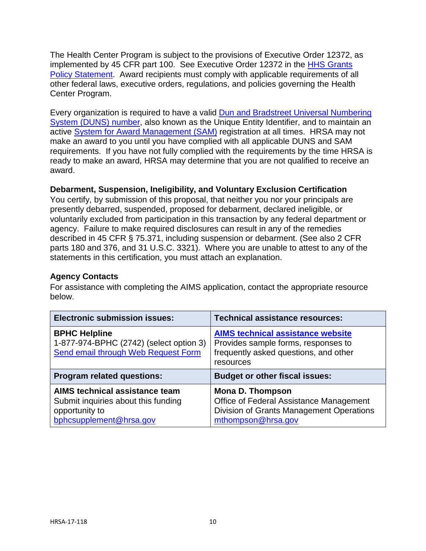The Health Center Program is subject to the provisions of Executive Order 12372, as implemented by 45 CFR part 100. See Executive Order 12372 in the [HHS Grants](https://www.hrsa.gov/grants/hhsgrantspolicy.pdf)  [Policy Statement.](https://www.hrsa.gov/grants/hhsgrantspolicy.pdf) Award recipients must comply with applicable requirements of all other federal laws, executive orders, regulations, and policies governing the Health Center Program.

Every organization is required to have a valid [Dun and Bradstreet Universal Numbering](http://www.dnb.com/duns-number.html)  [System \(DUNS\) number,](http://www.dnb.com/duns-number.html) also known as the Unique Entity Identifier, and to maintain an active [System for Award Management \(SAM\)](https://www.sam.gov/portal/SAM/#1) registration at all times. HRSA may not make an award to you until you have complied with all applicable DUNS and SAM requirements. If you have not fully complied with the requirements by the time HRSA is ready to make an award, HRSA may determine that you are not qualified to receive an award.

## <span id="page-9-0"></span>**Debarment, Suspension, Ineligibility, and Voluntary Exclusion Certification**

You certify, by submission of this proposal, that neither you nor your principals are presently debarred, suspended, proposed for debarment, declared ineligible, or voluntarily excluded from participation in this transaction by any federal department or agency. Failure to make required disclosures can result in any of the remedies described in 45 CFR § 75.371, including suspension or debarment. (See also 2 CFR parts 180 and 376, and 31 U.S.C. 3321). Where you are unable to attest to any of the statements in this certification, you must attach an explanation.

#### <span id="page-9-1"></span>**Agency Contacts**

For assistance with completing the AIMS application, contact the appropriate resource below.

| <b>Electronic submission issues:</b>                                                                          | <b>Technical assistance resources:</b>                                                                                                |  |  |
|---------------------------------------------------------------------------------------------------------------|---------------------------------------------------------------------------------------------------------------------------------------|--|--|
| <b>BPHC Helpline</b><br>1-877-974-BPHC (2742) (select option 3)<br><b>Send email through Web Request Form</b> | <b>AIMS technical assistance website</b><br>Provides sample forms, responses to<br>frequently asked questions, and other<br>resources |  |  |
|                                                                                                               | <b>Budget or other fiscal issues:</b>                                                                                                 |  |  |
| <b>Program related questions:</b>                                                                             |                                                                                                                                       |  |  |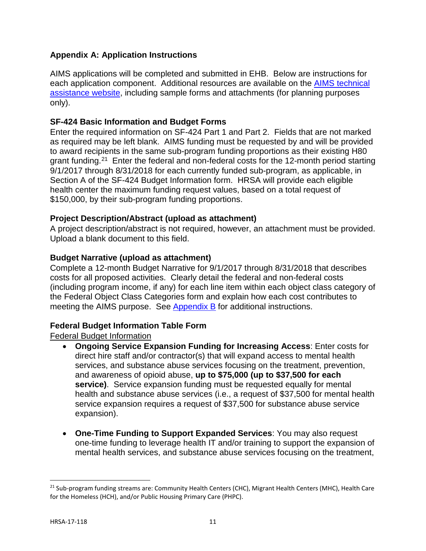# <span id="page-10-0"></span>**Appendix A: Application Instructions**

AIMS applications will be completed and submitted in EHB. Below are instructions for each application component. Additional resources are available on the [AIMS technical](https://bphc.hrsa.gov/programopportunities/fundingopportunities/supplement)  [assistance website,](https://bphc.hrsa.gov/programopportunities/fundingopportunities/supplement) including sample forms and attachments (for planning purposes only).

## **SF-424 Basic Information and Budget Forms**

Enter the required information on SF-424 Part 1 and Part 2. Fields that are not marked as required may be left blank. AIMS funding must be requested by and will be provided to award recipients in the same sub-program funding proportions as their existing H80 grant funding.<sup>21</sup> Enter the federal and non-federal costs for the 12-month period starting 9/1/2017 through 8/31/2018 for each currently funded sub-program, as applicable, in Section A of the SF-424 Budget Information form. HRSA will provide each eligible health center the maximum funding request values, based on a total request of \$150,000, by their sub-program funding proportions.

## **Project Description/Abstract (upload as attachment)**

A project description/abstract is not required, however, an attachment must be provided. Upload a blank document to this field.

## **Budget Narrative (upload as attachment)**

Complete a 12-month Budget Narrative for 9/1/2017 through 8/31/2018 that describes costs for all proposed activities. Clearly detail the federal and non-federal costs (including program income, if any) for each line item within each object class category of the Federal Object Class Categories form and explain how each cost contributes to meeting the AIMS purpose. See Appendix B for additional instructions.

#### **Federal Budget Information Table Form**

Federal Budget Information

- **Ongoing Service Expansion Funding for Increasing Access**: Enter costs for direct hire staff and/or contractor(s) that will expand access to mental health services, and substance abuse services focusing on the treatment, prevention, and awareness of opioid abuse, **up to \$75,000 (up to \$37,500 for each service)**. Service expansion funding must be requested equally for mental health and substance abuse services (i.e., a request of \$37,500 for mental health service expansion requires a request of \$37,500 for substance abuse service expansion).
- **One-Time Funding to Support Expanded Services**: You may also request one-time funding to leverage health IT and/or training to support the expansion of mental health services, and substance abuse services focusing on the treatment,

<span id="page-10-1"></span><sup>&</sup>lt;sup>21</sup> Sub-program funding streams are: Community Health Centers (CHC), Migrant Health Centers (MHC), Health Care for the Homeless (HCH), and/or Public Housing Primary Care (PHPC).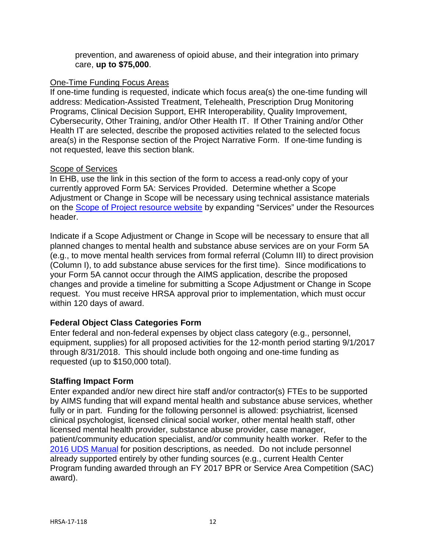prevention, and awareness of opioid abuse, and their integration into primary care, **up to \$75,000**.

#### One-Time Funding Focus Areas

If one-time funding is requested, indicate which focus area(s) the one-time funding will address: Medication-Assisted Treatment, Telehealth, Prescription Drug Monitoring Programs, Clinical Decision Support, EHR Interoperability, Quality Improvement, Cybersecurity, Other Training, and/or Other Health IT. If Other Training and/or Other Health IT are selected, describe the proposed activities related to the selected focus area(s) in the Response section of the Project Narrative Form. If one-time funding is not requested, leave this section blank.

#### <span id="page-11-1"></span>Scope of Services

In EHB, use the link in this section of the form to access a read-only copy of your currently approved Form 5A: Services Provided. Determine whether a Scope Adjustment or Change in Scope will be necessary using technical assistance materials on the [Scope of Project resource website](https://bphc.hrsa.gov/programrequirements/scope.html) by expanding "Services" under the Resources header.

Indicate if a Scope Adjustment or Change in Scope will be necessary to ensure that all planned changes to mental health and substance abuse services are on your Form 5A (e.g., to move mental health services from formal referral (Column III) to direct provision (Column I), to add substance abuse services for the first time). Since modifications to your Form 5A cannot occur through the AIMS application, describe the proposed changes and provide a timeline for submitting a Scope Adjustment or Change in Scope request. You must receive HRSA approval prior to implementation, which must occur within 120 days of award.

#### **Federal Object Class Categories Form**

Enter federal and non-federal expenses by object class category (e.g., personnel, equipment, supplies) for all proposed activities for the 12-month period starting 9/1/2017 through 8/31/2018. This should include both ongoing and one-time funding as requested (up to \$150,000 total).

#### <span id="page-11-0"></span>**Staffing Impact Form**

Enter expanded and/or new direct hire staff and/or contractor(s) FTEs to be supported by AIMS funding that will expand mental health and substance abuse services, whether fully or in part. Funding for the following personnel is allowed: psychiatrist, licensed clinical psychologist, licensed clinical social worker, other mental health staff, other licensed mental health provider, substance abuse provider, case manager, patient/community education specialist, and/or community health worker. Refer to the [2016 UDS Manual](https://bphc.hrsa.gov/datareporting/reporting/2016udsreportingmanual.pdf) for position descriptions, as needed. Do not include personnel already supported entirely by other funding sources (e.g., current Health Center Program funding awarded through an FY 2017 BPR or Service Area Competition (SAC) award).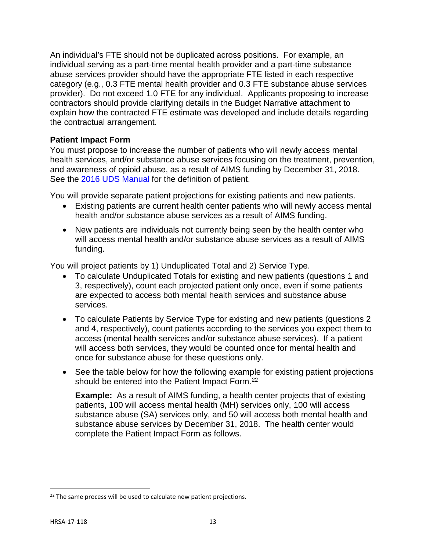An individual's FTE should not be duplicated across positions. For example, an individual serving as a part-time mental health provider and a part-time substance abuse services provider should have the appropriate FTE listed in each respective category (e.g., 0.3 FTE mental health provider and 0.3 FTE substance abuse services provider). Do not exceed 1.0 FTE for any individual. Applicants proposing to increase contractors should provide clarifying details in the Budget Narrative attachment to explain how the contracted FTE estimate was developed and include details regarding the contractual arrangement.

## <span id="page-12-0"></span>**Patient Impact Form**

You must propose to increase the number of patients who will newly access mental health services, and/or substance abuse services focusing on the treatment, prevention, and awareness of opioid abuse, as a result of AIMS funding by December 31, 2018. See the [2016 UDS Manual](https://bphc.hrsa.gov/datareporting/reporting/2016udsreportingmanual.pdf) for the definition of patient.

You will provide separate patient projections for existing patients and new patients.

- Existing patients are current health center patients who will newly access mental health and/or substance abuse services as a result of AIMS funding.
- New patients are individuals not currently being seen by the health center who will access mental health and/or substance abuse services as a result of AIMS funding.

You will project patients by 1) Unduplicated Total and 2) Service Type.

- To calculate Unduplicated Totals for existing and new patients (questions 1 and 3, respectively), count each projected patient only once, even if some patients are expected to access both mental health services and substance abuse services.
- To calculate Patients by Service Type for existing and new patients (questions 2 and 4, respectively), count patients according to the services you expect them to access (mental health services and/or substance abuse services). If a patient will access both services, they would be counted once for mental health and once for substance abuse for these questions only.
- See the table below for how the following example for existing patient projections should be entered into the Patient Impact Form.<sup>22</sup>

**Example:** As a result of AIMS funding, a health center projects that of existing patients, 100 will access mental health (MH) services only, 100 will access substance abuse (SA) services only, and 50 will access both mental health and substance abuse services by December 31, 2018. The health center would complete the Patient Impact Form as follows.

<span id="page-12-1"></span> $22$  The same process will be used to calculate new patient projections.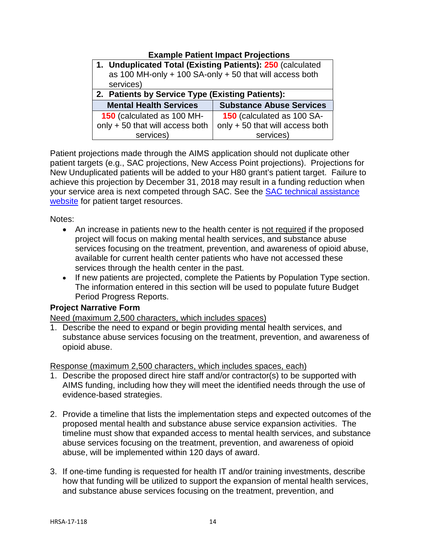# **Example Patient Impact Projections**

| 1. Unduplicated Total (Existing Patients): 250 (calculated<br>as 100 MH-only $+$ 100 SA-only $+$ 50 that will access both<br>services) |                                 |  |  |  |
|----------------------------------------------------------------------------------------------------------------------------------------|---------------------------------|--|--|--|
| 2. Patients by Service Type (Existing Patients):                                                                                       |                                 |  |  |  |
| <b>Mental Health Services</b>                                                                                                          | <b>Substance Abuse Services</b> |  |  |  |
| 150 (calculated as 100 MH-                                                                                                             | 150 (calculated as 100 SA-      |  |  |  |
| only + 50 that will access both                                                                                                        | only + 50 that will access both |  |  |  |
| services)                                                                                                                              | services)                       |  |  |  |

Patient projections made through the AIMS application should not duplicate other patient targets (e.g., SAC projections, New Access Point projections). Projections for New Unduplicated patients will be added to your H80 grant's patient target. Failure to achieve this projection by December 31, 2018 may result in a funding reduction when your service area is next competed through SAC. See the [SAC technical assistance](https://bphc.hrsa.gov/programopportunities/fundingopportunities/sac/index.html)  [website](https://bphc.hrsa.gov/programopportunities/fundingopportunities/sac/index.html) for patient target resources.

Notes:

- An increase in patients new to the health center is not required if the proposed project will focus on making mental health services, and substance abuse services focusing on the treatment, prevention, and awareness of opioid abuse, available for current health center patients who have not accessed these services through the health center in the past.
- If new patients are projected, complete the Patients by Population Type section. The information entered in this section will be used to populate future Budget Period Progress Reports.

#### <span id="page-13-0"></span>**Project Narrative Form**

Need (maximum 2,500 characters, which includes spaces)

1. Describe the need to expand or begin providing mental health services, and substance abuse services focusing on the treatment, prevention, and awareness of opioid abuse.

Response (maximum 2,500 characters, which includes spaces, each)

- 1. Describe the proposed direct hire staff and/or contractor(s) to be supported with AIMS funding, including how they will meet the identified needs through the use of evidence-based strategies.
- 2. Provide a timeline that lists the implementation steps and expected outcomes of the proposed mental health and substance abuse service expansion activities. The timeline must show that expanded access to mental health services, and substance abuse services focusing on the treatment, prevention, and awareness of opioid abuse, will be implemented within 120 days of award.
- 3. If one-time funding is requested for health IT and/or training investments, describe how that funding will be utilized to support the expansion of mental health services, and substance abuse services focusing on the treatment, prevention, and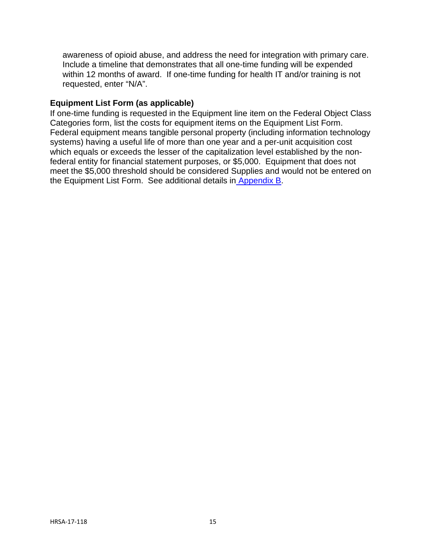awareness of opioid abuse, and address the need for integration with primary care. Include a timeline that demonstrates that all one-time funding will be expended within 12 months of award. If one-time funding for health IT and/or training is not requested, enter "N/A".

## **Equipment List Form (as applicable)**

If one-time funding is requested in the Equipment line item on the Federal Object Class Categories form, list the costs for equipment items on the Equipment List Form. Federal equipment means tangible personal property (including information technology systems) having a useful life of more than one year and a per-unit acquisition cost which equals or exceeds the lesser of the capitalization level established by the nonfederal entity for financial statement purposes, or \$5,000. Equipment that does not meet the \$5,000 threshold should be considered Supplies and would not be entered on the Equipment List Form. See additional details in [Appendix B.](#page-15-0)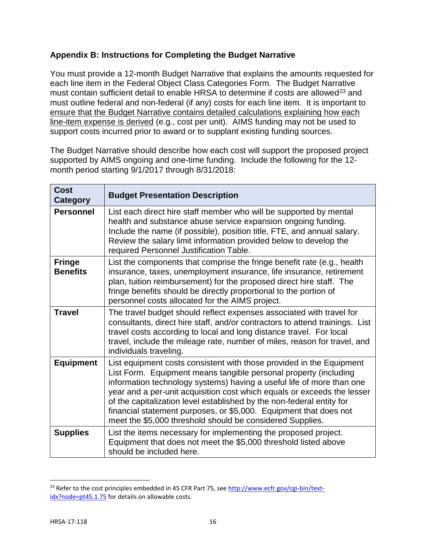# <span id="page-15-0"></span>**Appendix B: Instructions for Completing the Budget Narrative**

You must provide a 12-month Budget Narrative that explains the amounts requested for each line item in the Federal Object Class Categories Form. The Budget Narrative must contain sufficient detail to enable HRSA to determine if costs are allowed<sup>[23](#page-15-1)</sup> and must outline federal and non-federal (if any) costs for each line item. It is important to ensure that the Budget Narrative contains detailed calculations explaining how each line-item expense is derived (e.g., cost per unit). AIMS funding may not be used to support costs incurred prior to award or to supplant existing funding sources.

The Budget Narrative should describe how each cost will support the proposed project supported by AIMS ongoing and one-time funding. Include the following for the 12 month period starting 9/1/2017 through 8/31/2018:

| <b>Cost</b>                      | <b>Budget Presentation Description</b>                                                                                                                                                                                                                                                                                                                                                                                                                                                                  |
|----------------------------------|---------------------------------------------------------------------------------------------------------------------------------------------------------------------------------------------------------------------------------------------------------------------------------------------------------------------------------------------------------------------------------------------------------------------------------------------------------------------------------------------------------|
| Category                         |                                                                                                                                                                                                                                                                                                                                                                                                                                                                                                         |
| <b>Personnel</b>                 | List each direct hire staff member who will be supported by mental<br>health and substance abuse service expansion ongoing funding.<br>Include the name (if possible), position title, FTE, and annual salary.<br>Review the salary limit information provided below to develop the<br>required Personnel Justification Table.                                                                                                                                                                          |
| <b>Fringe</b><br><b>Benefits</b> | List the components that comprise the fringe benefit rate (e.g., health<br>insurance, taxes, unemployment insurance, life insurance, retirement<br>plan, tuition reimbursement) for the proposed direct hire staff. The<br>fringe benefits should be directly proportional to the portion of<br>personnel costs allocated for the AIMS project.                                                                                                                                                         |
| <b>Travel</b>                    | The travel budget should reflect expenses associated with travel for<br>consultants, direct hire staff, and/or contractors to attend trainings. List<br>travel costs according to local and long distance travel. For local<br>travel, include the mileage rate, number of miles, reason for travel, and<br>individuals traveling.                                                                                                                                                                      |
| <b>Equipment</b>                 | List equipment costs consistent with those provided in the Equipment<br>List Form. Equipment means tangible personal property (including<br>information technology systems) having a useful life of more than one<br>year and a per-unit acquisition cost which equals or exceeds the lesser<br>of the capitalization level established by the non-federal entity for<br>financial statement purposes, or \$5,000. Equipment that does not<br>meet the \$5,000 threshold should be considered Supplies. |
| <b>Supplies</b>                  | List the items necessary for implementing the proposed project.<br>Equipment that does not meet the \$5,000 threshold listed above<br>should be included here.                                                                                                                                                                                                                                                                                                                                          |

<span id="page-15-1"></span><sup>&</sup>lt;sup>23</sup> Refer to the cost principles embedded in 45 CFR Part 75, see [http://www.ecfr.gov/cgi-bin/text](http://www.ecfr.gov/cgi-bin/text-idx?node=pt45.1.75)[idx?node=pt45.1.75](http://www.ecfr.gov/cgi-bin/text-idx?node=pt45.1.75) for details on allowable costs.